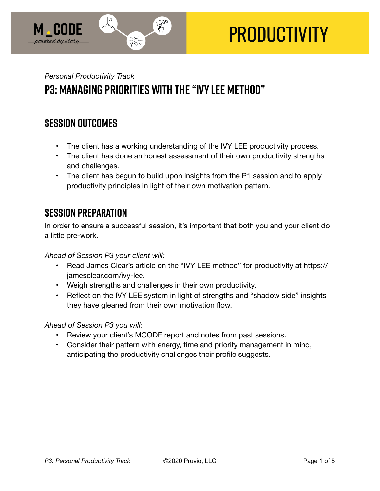

# **PRODUCTIVITY**

# *Personal Productivity Track*  **P3: Managing Priorities with the "Ivy Lee Method"**

## **SESSION OUTCOMES**

- The client has a working understanding of the IVY LEE productivity process.
- The client has done an honest assessment of their own productivity strengths and challenges.
- The client has begun to build upon insights from the P1 session and to apply productivity principles in light of their own motivation pattern.

## **SESSION PREPARATION**

In order to ensure a successful session, it's important that both you and your client do a little pre-work.

*Ahead of Session P3 your client will:* 

- Read James Clear's article on the "IVY LEE method" for productivity at https:// jamesclear.com/ivy-lee.
- Weigh strengths and challenges in their own productivity.
- Reflect on the IVY LEE system in light of strengths and "shadow side" insights they have gleaned from their own motivation flow.

## *Ahead of Session P3 you will:*

- Review your client's MCODE report and notes from past sessions.
- Consider their pattern with energy, time and priority management in mind, anticipating the productivity challenges their profile suggests.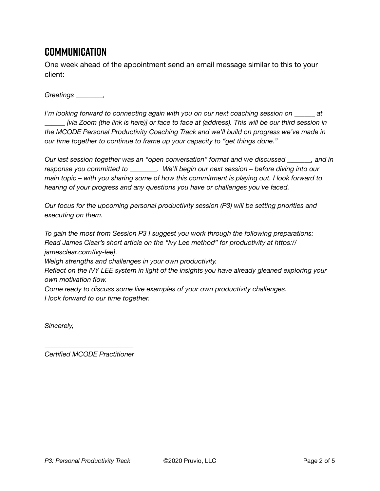# **Communication**

One week ahead of the appointment send an email message similar to this to your client:

*Greetings \_\_\_\_\_\_\_\_,* 

*I'm looking forward to connecting again with you on our next coaching session on \_\_\_\_\_\_ at \_\_\_\_\_\_ [via Zoom (the link is here)] or face to face at (address). This will be our third session in the MCODE Personal Productivity Coaching Track and we'll build on progress we've made in our time together to continue to frame up your capacity to "get things done."* 

*Our last session together was an "open conversation" format and we discussed \_\_\_\_\_\_\_, and in response you committed to \_\_\_\_\_\_\_\_. We'll begin our next session – before diving into our main topic – with you sharing some of how this commitment is playing out. I look forward to hearing of your progress and any questions you have or challenges you've faced.* 

*Our focus for the upcoming personal productivity session (P3) will be setting priorities and executing on them.* 

*To gain the most from Session P3 I suggest you work through the following preparations: Read James Clear's short article on the "Ivy Lee method" for productivity at https:// jamesclear.com/ivy-lee].* 

*Weigh strengths and challenges in your own productivity.* 

*Reflect on the IVY LEE system in light of the insights you have already gleaned exploring your own motivation flow.* 

*Come ready to discuss some live examples of your own productivity challenges. I look forward to our time together.* 

*Sincerely,* 

*\_\_\_\_\_\_\_\_\_\_\_\_\_\_\_\_\_\_\_\_\_\_\_\_\_\_ Certified MCODE Practitioner*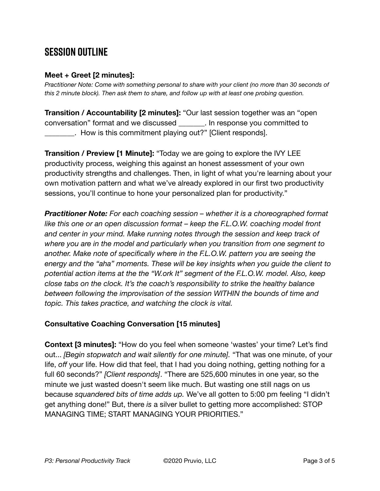# **SESSION OUTLINE**

#### **Meet + Greet [2 minutes]:**

*Practitioner Note: Come with something personal to share with your client (no more than 30 seconds of this 2 minute block). Then ask them to share, and follow up with at least one probing question.* 

**Transition / Accountability [2 minutes]:** "Our last session together was an "open conversation" format and we discussed \_\_\_\_\_\_\_. In response you committed to \_\_\_\_\_\_\_\_. How is this commitment playing out?" [Client responds].

**Transition / Preview [1 Minute]:** "Today we are going to explore the IVY LEE productivity process, weighing this against an honest assessment of your own productivity strengths and challenges. Then, in light of what you're learning about your own motivation pattern and what we've already explored in our first two productivity sessions, you'll continue to hone your personalized plan for productivity."

*Practitioner Note: For each coaching session – whether it is a choreographed format*  like this one or an open discussion format – keep the F.L.O.W. coaching model front *and center in your mind. Make running notes through the session and keep track of where you are in the model and particularly when you transition from one segment to another. Make note of specifically where in the F.L.O.W. pattern you are seeing the energy and the "aha" moments. These will be key insights when you guide the client to potential action items at the the "W.ork It" segment of the F.L.O.W. model. Also, keep close tabs on the clock. It's the coach's responsibility to strike the healthy balance between following the improvisation of the session WITHIN the bounds of time and topic. This takes practice, and watching the clock is vital.* 

## **Consultative Coaching Conversation [15 minutes]**

**Context [3 minutes]:** "How do you feel when someone 'wastes' your time? Let's find out... *[Begin stopwatch and wait silently for one minute].* "That was one minute, of your life, *off* your life. How did that feel, that I had you doing nothing, getting nothing for a full 60 seconds?" *[Client responds]*. "There are 525,600 minutes in one year, so the minute we just wasted doesn't seem like much. But wasting one still nags on us because *squandered bits of time adds up.* We've all gotten to 5:00 pm feeling "I didn't get anything done!" But, there *is* a silver bullet to getting more accomplished: STOP MANAGING TIME; START MANAGING YOUR PRIORITIES."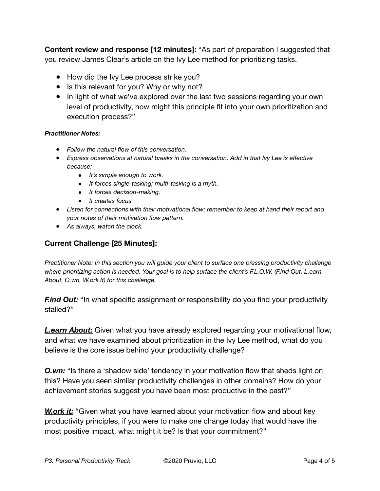**Content review and response [12 minutes]:** "As part of preparation I suggested that you review James Clear's article on the Ivy Lee method for prioritizing tasks.

- How did the Ivy Lee process strike you?
- Is this relevant for you? Why or why not?
- In light of what we've explored over the last two sessions regarding your own level of productivity, how might this principle fit into your own prioritization and execution process?"

#### *Practitioner Notes:*

- *Follow the natural flow of this conversation.*
- Express observations at natural breaks in the conversation. Add in that Ivy Lee is effective *because:* 
	- *It's simple enough to work.*
	- *It forces single-tasking; multi-tasking is a myth.*
	- *It forces decision-making.*
	- *It creates focus*
- *Listen for connections with their motivational flow; remember to keep at hand their report and your notes of their motivation flow pattern.*
- *As always, watch the clock.*

### **Current Challenge [25 Minutes]:**

*Practitioner Note: In this section you will guide your client to surface one pressing productivity challenge where prioritizing action is needed. Your goal is to help surface the client's F.L.O.W. (F.ind Out, L.earn About, O.wn, W.ork It) for this challenge.* 

*Find Out:* "In what specific assignment or responsibility do you find your productivity stalled?"

*L.earn About:* Given what you have already explored regarding your motivational flow, and what we have examined about prioritization in the Ivy Lee method, what do you believe is the core issue behind your productivity challenge?

**O.wn:** "Is there a 'shadow side' tendency in your motivation flow that sheds light on this? Have you seen similar productivity challenges in other domains? How do your achievement stories suggest you have been most productive in the past?"

*W.ork it:* "Given what you have learned about your motivation flow and about key productivity principles, if you were to make one change today that would have the most positive impact, what might it be? Is that your commitment?"